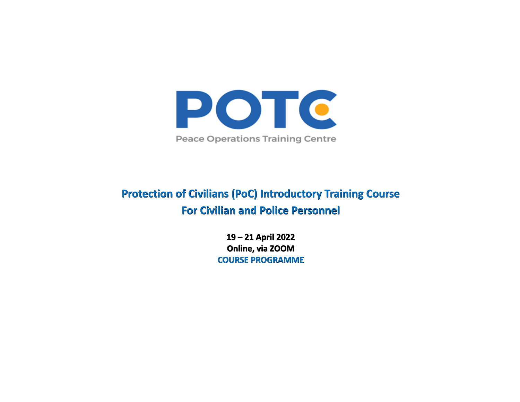

## **Protection of Civilians (PoC) Introductory Training Course For Civilian and Police Personnel**

**19 – 21 April 2022 Online, via ZOOM COURSE PROGRAMME**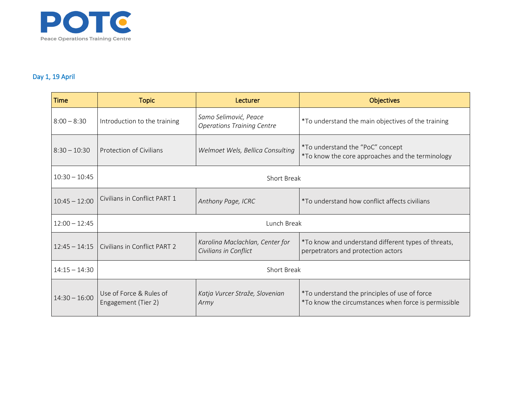

## Day 1, 19 April

| <b>Time</b>     | <b>Topic</b>                                   | Lecturer                                                   | <b>Objectives</b>                                                                                     |  |
|-----------------|------------------------------------------------|------------------------------------------------------------|-------------------------------------------------------------------------------------------------------|--|
| $8:00 - 8:30$   | Introduction to the training                   | Samo Selimović, Peace<br><b>Operations Training Centre</b> | *To understand the main objectives of the training                                                    |  |
| $8:30 - 10:30$  | Protection of Civilians                        | Welmoet Wels, Bellica Consulting                           | *To understand the "PoC" concept<br>*To know the core approaches and the terminology                  |  |
| $10:30 - 10:45$ | <b>Short Break</b>                             |                                                            |                                                                                                       |  |
| $10:45 - 12:00$ | Civilians in Conflict PART 1                   | Anthony Page, ICRC                                         | *To understand how conflict affects civilians                                                         |  |
| $12:00 - 12:45$ | Lunch Break                                    |                                                            |                                                                                                       |  |
| $12:45 - 14:15$ | Civilians in Conflict PART 2                   | Karolina Maclachlan, Center for<br>Civilians in Conflict   | *To know and understand different types of threats,<br>perpetrators and protection actors             |  |
| $14:15 - 14:30$ | <b>Short Break</b>                             |                                                            |                                                                                                       |  |
| $14:30 - 16:00$ | Use of Force & Rules of<br>Engagement (Tier 2) | Katja Vurcer Straže, Slovenian<br>Army                     | *To understand the principles of use of force<br>*To know the circumstances when force is permissible |  |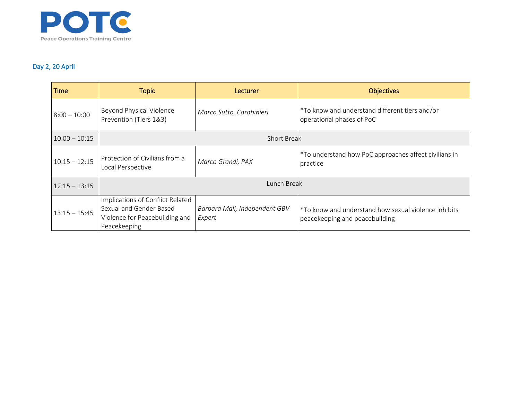

## Day 2, 20 April

| <b>Time</b>     | <b>Topic</b>                                                                                                  | <b>Lecturer</b>                         | <b>Objectives</b>                                                                      |  |
|-----------------|---------------------------------------------------------------------------------------------------------------|-----------------------------------------|----------------------------------------------------------------------------------------|--|
| $8:00 - 10:00$  | Beyond Physical Violence<br>Prevention (Tiers 1&3)                                                            | Marco Sutto, Carabinieri                | *To know and understand different tiers and/or<br>operational phases of PoC            |  |
| $10:00 - 10:15$ | <b>Short Break</b>                                                                                            |                                         |                                                                                        |  |
| $10:15 - 12:15$ | Protection of Civilians from a<br>Local Perspective                                                           | Marco Grandi, PAX                       | *To understand how PoC approaches affect civilians in<br>practice                      |  |
| $12:15 - 13:15$ | Lunch Break                                                                                                   |                                         |                                                                                        |  |
| $13:15 - 15:45$ | Implications of Conflict Related<br>Sexual and Gender Based<br>Violence for Peacebuilding and<br>Peacekeeping | Barbara Mali, Independent GBV<br>Expert | *To know and understand how sexual violence inhibits<br>peacekeeping and peacebuilding |  |